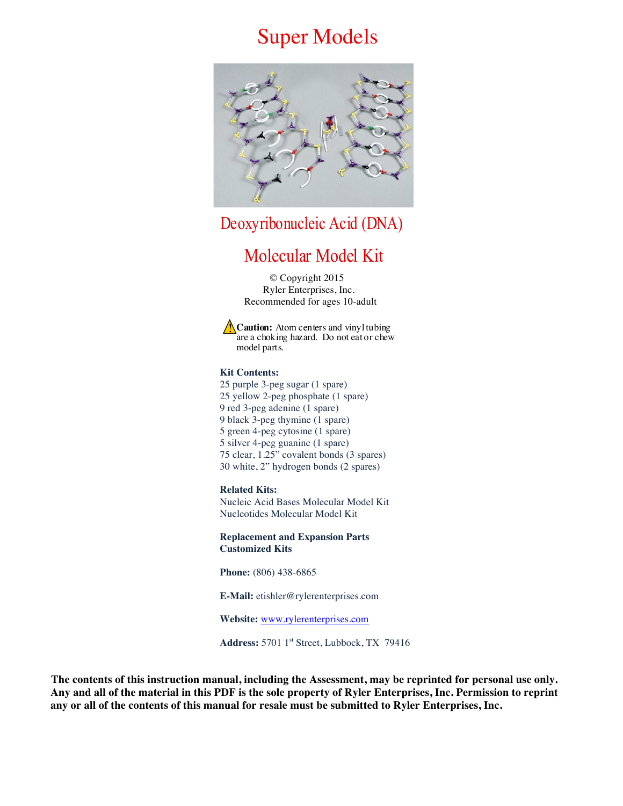# Super Models



Deoxyribonucleic Acid (DNA)

# Molecular Model Kit

 © Copyright 2015 Ryler Enterprises, Inc. Recommended for ages 10-adult

**Caution:** Atom centers and vinyl tubing **Caution:** Atom centers and vinyl tubing<br>are a choking hazard. Do not eat or chew model parts.

#### **Kit Contents:**

25 purple 3-peg sugar (1 spare) 25 yellow 2-peg phosphate (1 spare) 9 red 3-peg adenine (1 spare) 9 black 3-peg thymine (1 spare) 5 green 4-peg cytosine (1 spare) 5 silver 4-peg guanine (1 spare) 75 clear, 1.25" covalent bonds (3 spares) 30 white, 2" hydrogen bonds (2 spares)

#### **Related Kits:**

Nucleic Acid Bases Molecular Model Kit Nucleotides Molecular Model Kit

**Replacement and Expansion Parts Customized Kits**

**Phone:** (806) 438-6865

**E-Mail:** etishler@rylerenterprises.com

**Website:** www.rylerenterprises.com

**Address:** 5701 1st Street, Lubbock, TX 79416

 **The contents of this instruction manual, including the Assessment, may be reprinted for personal use only. Any and all of the material in this PDF is the sole property of Ryler Enterprises, Inc. Permission to reprint any or all of the contents of this manual for resale must be submitted to Ryler Enterprises, Inc.**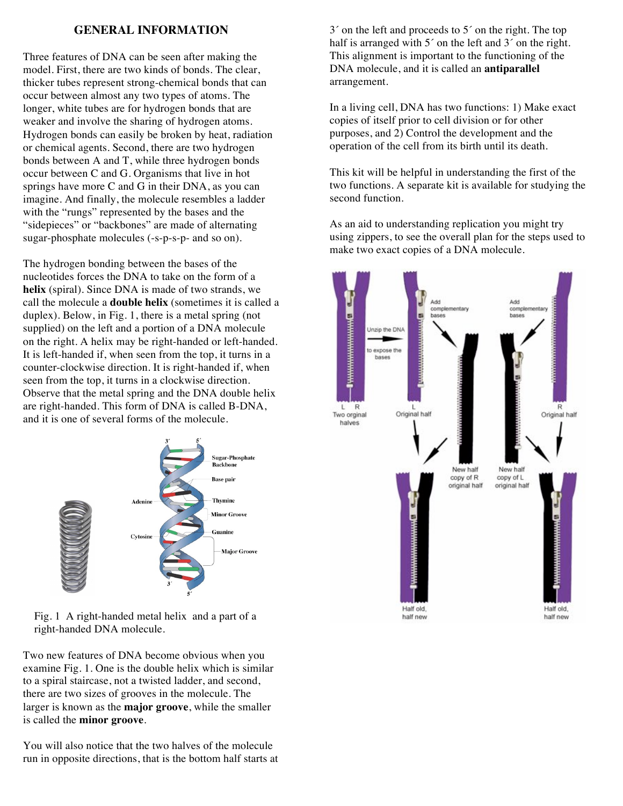## **GENERAL INFORMATION**

Three features of DNA can be seen after making the model. First, there are two kinds of bonds. The clear, thicker tubes represent strong-chemical bonds that can occur between almost any two types of atoms. The longer, white tubes are for hydrogen bonds that are weaker and involve the sharing of hydrogen atoms. Hydrogen bonds can easily be broken by heat, radiation or chemical agents. Second, there are two hydrogen bonds between A and T, while three hydrogen bonds occur between C and G. Organisms that live in hot springs have more C and G in their DNA, as you can imagine. And finally, the molecule resembles a ladder with the "rungs" represented by the bases and the "sidepieces" or "backbones" are made of alternating sugar-phosphate molecules (-s-p-s-p- and so on).

The hydrogen bonding between the bases of the nucleotides forces the DNA to take on the form of a **helix** (spiral). Since DNA is made of two strands, we call the molecule a **double helix** (sometimes it is called a duplex). Below, in Fig. 1, there is a metal spring (not supplied) on the left and a portion of a DNA molecule on the right. A helix may be right-handed or left-handed. It is left-handed if, when seen from the top, it turns in a counter-clockwise direction. It is right-handed if, when seen from the top, it turns in a clockwise direction. Observe that the metal spring and the DNA double helix are right-handed. This form of DNA is called B-DNA, and it is one of several forms of the molecule.



Fig. 1 A right-handed metal helix and a part of a right-handed DNA molecule.

Two new features of DNA become obvious when you examine Fig. 1. One is the double helix which is similar to a spiral staircase, not a twisted ladder, and second, there are two sizes of grooves in the molecule. The larger is known as the **major groove**, while the smaller is called the **minor groove**.

You will also notice that the two halves of the molecule run in opposite directions, that is the bottom half starts at

3´ on the left and proceeds to 5´ on the right. The top half is arranged with  $5<sup>′</sup>$  on the left and  $3<sup>′</sup>$  on the right. This alignment is important to the functioning of the DNA molecule, and it is called an **antiparallel** arrangement.

In a living cell, DNA has two functions: 1) Make exact copies of itself prior to cell division or for other purposes, and 2) Control the development and the operation of the cell from its birth until its death.

This kit will be helpful in understanding the first of the two functions. A separate kit is available for studying the second function.

As an aid to understanding replication you might try using zippers, to see the overall plan for the steps used to make two exact copies of a DNA molecule.

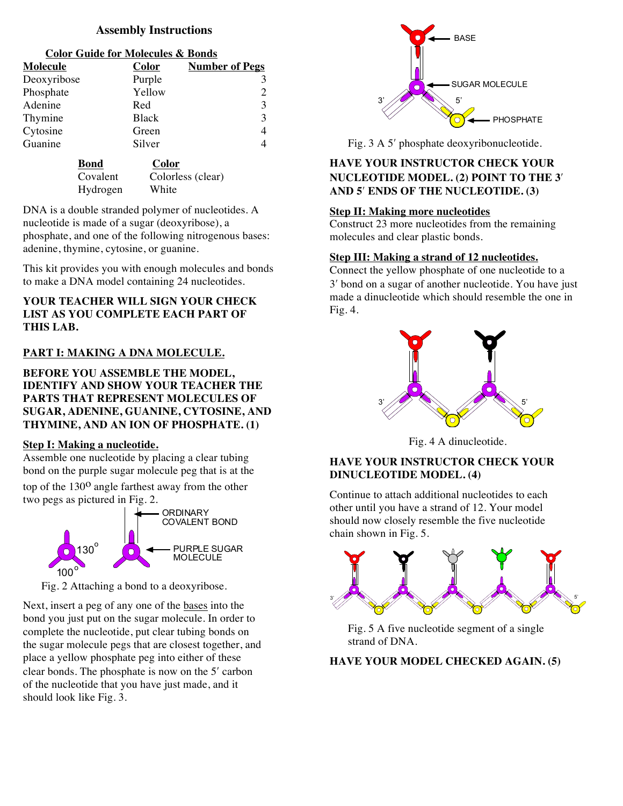## **Assembly Instructions**

#### **Color Guide for Molecules & Bonds**

| Molecule    | <b>Color</b> | <b>Number of Pegs</b> |
|-------------|--------------|-----------------------|
| Deoxyribose | Purple       |                       |
| Phosphate   | Yellow       |                       |
| Adenine     | Red          |                       |
| Thymine     | <b>Black</b> |                       |
| Cytosine    | Green        |                       |
| Guanine     | Silver       |                       |
|             |              |                       |

| Bond     | Color             |
|----------|-------------------|
| Covalent | Colorless (clear) |
| Hydrogen | White             |

DNA is a double stranded polymer of nucleotides. A nucleotide is made of a sugar (deoxyribose), a phosphate, and one of the following nitrogenous bases: adenine, thymine, cytosine, or guanine.

This kit provides you with enough molecules and bonds to make a DNA model containing 24 nucleotides.

## **YOUR TEACHER WILL SIGN YOUR CHECK LIST AS YOU COMPLETE EACH PART OF THIS LAB.**

# **PART I: MAKING A DNA MOLECULE.**

**BEFORE YOU ASSEMBLE THE MODEL, IDENTIFY AND SHOW YOUR TEACHER THE PARTS THAT REPRESENT MOLECULES OF SUGAR, ADENINE, GUANINE, CYTOSINE, AND THYMINE, AND AN ION OF PHOSPHATE. (1)**

## **Step I: Making a nucleotide.**

Assemble one nucleotide by placing a clear tubing bond on the purple sugar molecule peg that is at the top of the  $130^{\circ}$  angle farthest away from the other two pegs as pictured in Fig. 2.



Fig. 2 Attaching a bond to a deoxyribose.

Next, insert a peg of any one of the bases into the bond you just put on the sugar molecule. In order to complete the nucleotide, put clear tubing bonds on the sugar molecule pegs that are closest together, and place a yellow phosphate peg into either of these clear bonds. The phosphate is now on the 5ʹ carbon of the nucleotide that you have just made, and it should look like Fig. 3.



Fig. 3 A 5ʹ phosphate deoxyribonucleotide.

# **HAVE YOUR INSTRUCTOR CHECK YOUR NUCLEOTIDE MODEL. (2) POINT TO THE 3**ʹ **AND 5**ʹ **ENDS OF THE NUCLEOTIDE. (3)**

## **Step II: Making more nucleotides**

Construct 23 more nucleotides from the remaining molecules and clear plastic bonds.

# **Step III: Making a strand of 12 nucleotides.**

Connect the yellow phosphate of one nucleotide to a 3ʹ bond on a sugar of another nucleotide. You have just made a dinucleotide which should resemble the one in Fig. 4.



Fig. 4 A dinucleotide.

# **HAVE YOUR INSTRUCTOR CHECK YOUR DINUCLEOTIDE MODEL. (4)**

Continue to attach additional nucleotides to each other until you have a strand of 12. Your model should now closely resemble the five nucleotide chain shown in Fig. 5.



Fig. 5 A five nucleotide segment of a single strand of DNA.

**HAVE YOUR MODEL CHECKED AGAIN. (5)**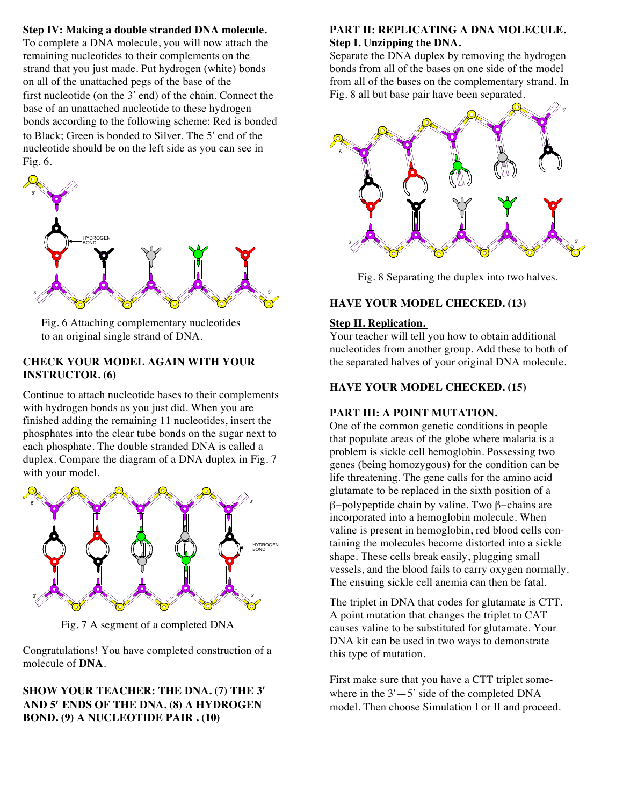## **Step IV: Making a double stranded DNA molecule.**

To complete a DNA molecule, you will now attach the remaining nucleotides to their complements on the strand that you just made. Put hydrogen (white) bonds on all of the unattached pegs of the base of the first nucleotide (on the 3ʹ end) of the chain. Connect the base of an unattached nucleotide to these hydrogen bonds according to the following scheme: Red is bonded to Black; Green is bonded to Silver. The 5ʹ end of the nucleotide should be on the left side as you can see in Fig. 6.



Fig. 6 Attaching complementary nucleotides to an original single strand of DNA.

## **CHECK YOUR MODEL AGAIN WITH YOUR INSTRUCTOR. (6)**

Continue to attach nucleotide bases to their complements with hydrogen bonds as you just did. When you are finished adding the remaining 11 nucleotides, insert the phosphates into the clear tube bonds on the sugar next to each phosphate. The double stranded DNA is called a duplex. Compare the diagram of a DNA duplex in Fig. 7 with your model.



Fig. 7 A segment of a completed DNA

Congratulations! You have completed construction of a molecule of **DNA**.

## **SHOW YOUR TEACHER: THE DNA. (7) THE 3**ʹ **AND 5**ʹ **ENDS OF THE DNA. (8) A HYDROGEN BOND. (9) A NUCLEOTIDE PAIR . (10)**

#### **PART II: REPLICATING A DNA MOLECULE. Step I. Unzipping the DNA.**

Separate the DNA duplex by removing the hydrogen bonds from all of the bases on one side of the model from all of the bases on the complementary strand. In Fig. 8 all but base pair have been separated.



Fig. 8 Separating the duplex into two halves.

## **HAVE YOUR MODEL CHECKED. (13)**

## **Step II. Replication.**

Your teacher will tell you how to obtain additional nucleotides from another group. Add these to both of the separated halves of your original DNA molecule.

## **HAVE YOUR MODEL CHECKED. (15)**

## **PART III: A POINT MUTATION.**

One of the common genetic conditions in people that populate areas of the globe where malaria is a problem is sickle cell hemoglobin. Possessing two genes (being homozygous) for the condition can be life threatening. The gene calls for the amino acid glutamate to be replaced in the sixth position of a β−polypeptide chain by valine. Two β−chains are incorporated into a hemoglobin molecule. When valine is present in hemoglobin, red blood cells containing the molecules become distorted into a sickle shape. These cells break easily, plugging small vessels, and the blood fails to carry oxygen normally. The ensuing sickle cell anemia can then be fatal.

The triplet in DNA that codes for glutamate is CTT. A point mutation that changes the triplet to CAT causes valine to be substituted for glutamate. Your DNA kit can be used in two ways to demonstrate this type of mutation.

First make sure that you have a CTT triplet somewhere in the  $3'$  -  $5'$  side of the completed DNA model. Then choose Simulation I or II and proceed.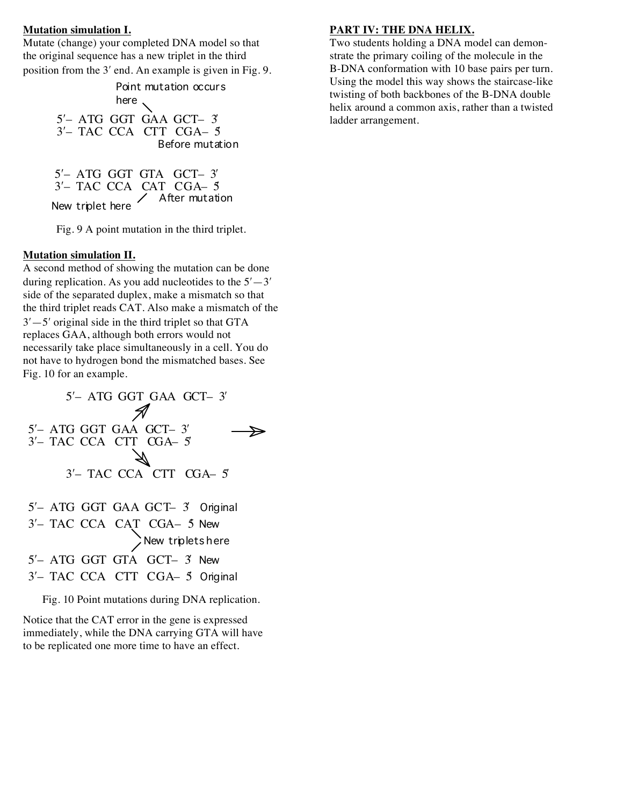#### **Mutation simulation I.**

Mutate (change) your completed DNA model so that the original sequence has a new triplet in the third position from the 3ʹ end. An example is given in Fig. 9.

> 5ʹ– ATG GGT GAA GCT– 3ʹ 3ʹ– TAC CCA CTT CGA– 5ʹ Point mutation occurs here Before mutation

5ʹ– ATG GGT GTA GCT– 3ʹ 3'- TAC CCA CAT CGA- 5 New triplet here After mutation

Fig. 9 A point mutation in the third triplet.

## **Mutation simulation II.**

A second method of showing the mutation can be done during replication. As you add nucleotides to the  $5'-3'$ side of the separated duplex, make a mismatch so that the third triplet reads CAT. Also make a mismatch of the  $3'-5'$  original side in the third triplet so that GTA replaces GAA, although both errors would not necessarily take place simultaneously in a cell. You do not have to hydrogen bond the mismatched bases. See Fig. 10 for an example.



Fig. 10 Point mutations during DNA replication.

Notice that the CAT error in the gene is expressed immediately, while the DNA carrying GTA will have to be replicated one more time to have an effect.

#### **PART IV: THE DNA HELIX.**

Two students holding a DNA model can demonstrate the primary coiling of the molecule in the B-DNA conformation with 10 base pairs per turn. Using the model this way shows the staircase-like twisting of both backbones of the B-DNA double helix around a common axis, rather than a twisted ladder arrangement.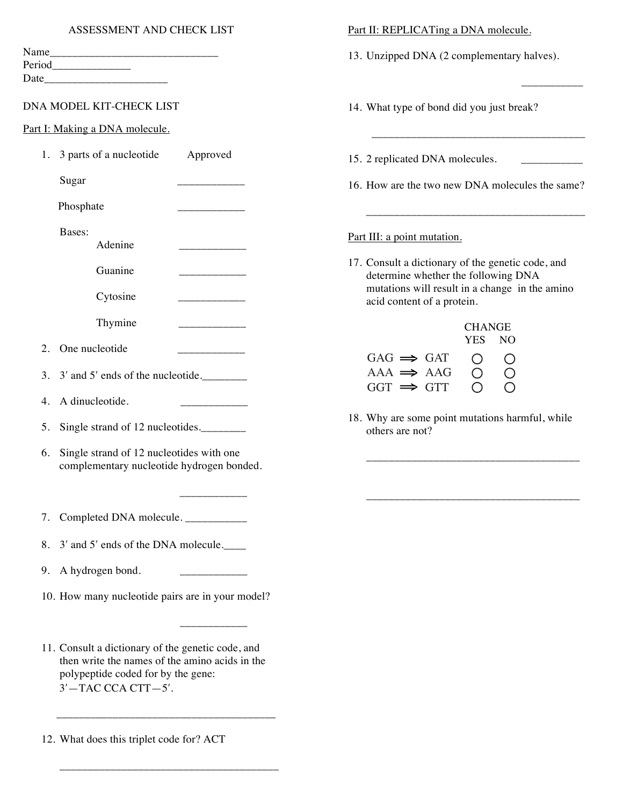| Name   |  |
|--------|--|
| Period |  |
| Date   |  |

## DNA MODEL KIT-CHECK LIST

Part I: Making a DNA molecule.

| 1.               | 3 parts of a nucleotide<br>Approved                                                   | 15. 2 replicated DNA molecules.                                                          |
|------------------|---------------------------------------------------------------------------------------|------------------------------------------------------------------------------------------|
|                  | Sugar                                                                                 | 16. How are the two new DNA molecules the same?                                          |
|                  | Phosphate<br>_________                                                                |                                                                                          |
|                  | Bases:<br>Adenine                                                                     | Part III: a point mutation.                                                              |
|                  | Guanine                                                                               | 17. Consult a dictionary of the genetic code, and<br>determine whether the following DNA |
|                  | Cytosine                                                                              | mutations will result in a change in the amino<br>acid content of a protein.             |
|                  | Thymine                                                                               | <b>CHANGE</b>                                                                            |
| $\overline{2}$ . | One nucleotide                                                                        | <b>YES</b><br><b>NO</b><br>$GAG \implies GAT$<br>O<br>$\bigcirc$                         |
| 3.               | $3'$ and $5'$ ends of the nucleotide.                                                 | $\bigcirc$<br>$\bigcirc$<br>$AAA \implies AAG$<br>$GGT \implies GTT$<br>$\bigcirc$       |
| 4.               | A dinucleotide.                                                                       |                                                                                          |
| 5.               | Single strand of 12 nucleotides.                                                      | 18. Why are some point mutations harmful, while<br>others are not?                       |
| 6.               | Single strand of 12 nucleotides with one<br>complementary nucleotide hydrogen bonded. |                                                                                          |
|                  |                                                                                       |                                                                                          |
| 7.               | Completed DNA molecule.                                                               |                                                                                          |
| 8.               | 3' and 5' ends of the DNA molecule.                                                   |                                                                                          |

Part II: REPLICATing a DNA molecule.

14. What type of bond did you just break?

13. Unzipped DNA (2 complementary halves).

\_\_\_\_\_\_\_\_\_\_\_

\_\_\_\_\_\_\_\_\_\_\_\_\_\_\_\_\_\_\_\_\_\_\_\_\_\_\_\_\_\_\_\_\_\_\_\_\_\_

- 9. A hydrogen bond.
- 10. How many nucleotide pairs are in your model?

\_\_\_\_\_\_\_\_\_\_\_\_

11. Consult a dictionary of the genetic code, and then write the names of the amino acids in the polypeptide coded for by the gene: 3ʹ—TAC CCA CTT—5ʹ.

\_\_\_\_\_\_\_\_\_\_\_\_\_\_\_\_\_\_\_\_\_\_\_\_\_\_\_\_\_\_\_\_\_\_\_\_\_\_\_

\_\_\_\_\_\_\_\_\_\_\_\_\_\_\_\_\_\_\_\_\_\_\_\_\_\_\_\_\_\_\_\_\_\_\_\_\_\_\_

12. What does this triplet code for? ACT